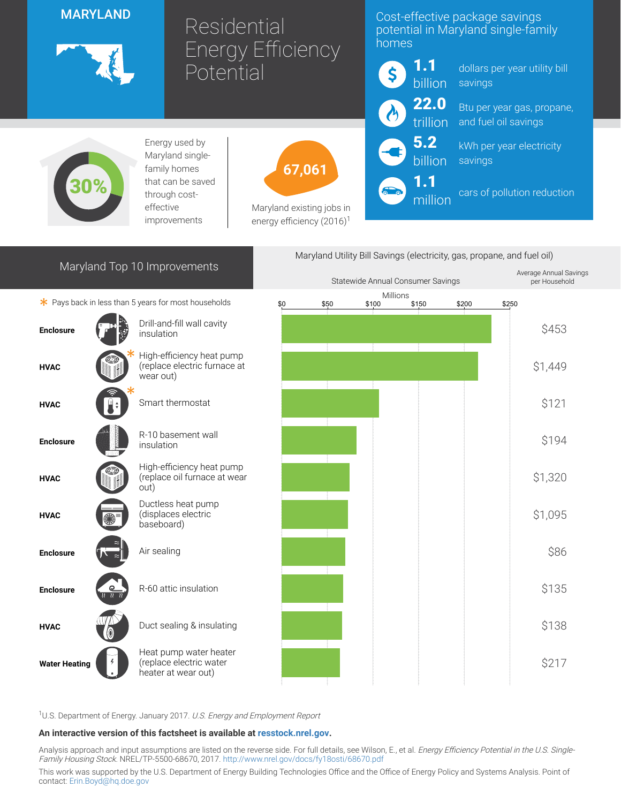## MARYLAND



# Residential Energy Efficiency<sup>1</sup> **Potential**

## Cost-effective package savings potential in Maryland single-family homes



million

dollars per year utility bill savings

Btu per year gas, propane, and fuel oil savings

kWh per year electricity savings

cars of pollution reduction



Energy used by Maryland singlefamily homes that can be saved through costeffective improvements



Maryland existing jobs in energy efficiency  $(2016)^1$ 

| Maryland Top 10 Improvements<br>* Pays back in less than 5 years for most households |             |                                                                          | Maryland Utility Bill Savings (electricity, gas, propane, and fuel oil) |      |                   |       |       |       |                                         |
|--------------------------------------------------------------------------------------|-------------|--------------------------------------------------------------------------|-------------------------------------------------------------------------|------|-------------------|-------|-------|-------|-----------------------------------------|
|                                                                                      |             |                                                                          | Statewide Annual Consumer Savings                                       |      |                   |       |       |       | Average Annual Savings<br>per Household |
|                                                                                      |             |                                                                          | \$0                                                                     | \$50 | Millions<br>\$100 | \$150 | \$200 | \$250 |                                         |
| <b>Enclosure</b>                                                                     |             | Drill-and-fill wall cavity<br>insulation                                 |                                                                         |      |                   |       |       |       | \$453                                   |
| <b>HVAC</b>                                                                          |             | High-efficiency heat pump<br>(replace electric furnace at<br>wear out)   |                                                                         |      |                   |       |       |       | \$1,449                                 |
| <b>HVAC</b>                                                                          |             | Smart thermostat                                                         |                                                                         |      |                   |       |       |       | \$121                                   |
| <b>Enclosure</b>                                                                     |             | R-10 basement wall<br>insulation                                         |                                                                         |      |                   |       |       |       | \$194                                   |
| <b>HVAC</b>                                                                          |             | High-efficiency heat pump<br>(replace oil furnace at wear<br>out)        |                                                                         |      |                   |       |       |       | \$1,320                                 |
| <b>HVAC</b>                                                                          |             | Ductless heat pump<br>(displaces electric<br>baseboard)                  |                                                                         |      |                   |       |       |       | \$1,095                                 |
| <b>Enclosure</b>                                                                     |             | Air sealing                                                              |                                                                         |      |                   |       |       |       | \$86                                    |
| <b>Enclosure</b>                                                                     | $rac{Q}{v}$ | R-60 attic insulation                                                    |                                                                         |      |                   |       |       |       | \$135                                   |
| <b>HVAC</b>                                                                          |             | Duct sealing & insulating                                                |                                                                         |      |                   |       |       |       | \$138                                   |
| <b>Water Heating</b>                                                                 |             | Heat pump water heater<br>(replace electric water<br>heater at wear out) |                                                                         |      |                   |       |       |       | \$217                                   |

<sup>1</sup>U.S. Department of Energy. January 2017. U.S. Energy and Employment Report

#### An interactive version of this factsheet is available at [resstock.nrel.gov.](https://resstock.nrel.gov/)

Analysis approach and input assumptions are listed on the reverse side. For full details, see Wilson, E., et al. *Energy Efficiency Potential in the U.S. Single*-Family Housing Stock. NREL/TP-5500-68670, 2017. <http://www.nrel.gov/docs/fy18osti/68670.pdf>

This work was supported by the U.S. Department of Energy Building Technologies Office and the Office of Energy Policy and Systems Analysis. Point of contact: [Erin.Boyd@hq.doe.gov](mailto:Erin.Boyd@hq.doe.gov)